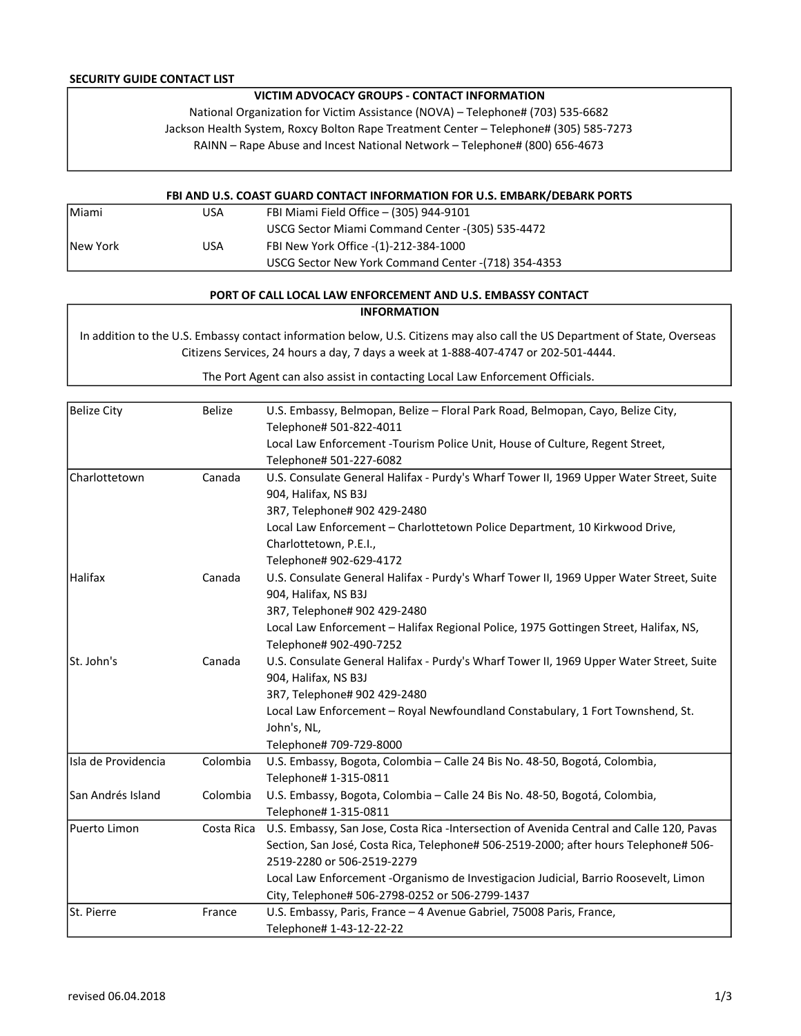### SECURITY GUIDE CONTACT LIST

# VICTIM ADVOCACY GROUPS - CONTACT INFORMATION

National Organization for Victim Assistance (NOVA) – Telephone# (703) 535-6682

Jackson Health System, Roxcy Bolton Rape Treatment Center – Telephone# (305) 585-7273

RAINN – Rape Abuse and Incest National Network – Telephone# (800) 656-4673

#### FBI AND U.S. COAST GUARD CONTACT INFORMATION FOR U.S. EMBARK/DEBARK PORTS

| <b>IMiami</b>    | USA | FBI Miami Field Office - (305) 944-9101              |
|------------------|-----|------------------------------------------------------|
|                  |     | USCG Sector Miami Command Center - (305) 535-4472    |
| <b>INew York</b> | USA | FBI New York Office -(1)-212-384-1000                |
|                  |     | USCG Sector New York Command Center - (718) 354-4353 |

## PORT OF CALL LOCAL LAW ENFORCEMENT AND U.S. EMBASSY CONTACT

#### INFORMATION

In addition to the U.S. Embassy contact information below, U.S. Citizens may also call the US Department of State, Overseas Citizens Services, 24 hours a day, 7 days a week at 1-888-407-4747 or 202-501-4444.

The Port Agent can also assist in contacting Local Law Enforcement Officials.

| <b>Belize City</b>  | <b>Belize</b> | U.S. Embassy, Belmopan, Belize - Floral Park Road, Belmopan, Cayo, Belize City,          |
|---------------------|---------------|------------------------------------------------------------------------------------------|
|                     |               | Telephone# 501-822-4011                                                                  |
|                     |               | Local Law Enforcement - Tourism Police Unit, House of Culture, Regent Street,            |
|                     |               | Telephone# 501-227-6082                                                                  |
| Charlottetown       | Canada        | U.S. Consulate General Halifax - Purdy's Wharf Tower II, 1969 Upper Water Street, Suite  |
|                     |               | 904, Halifax, NS B3J                                                                     |
|                     |               | 3R7, Telephone# 902 429-2480                                                             |
|                     |               | Local Law Enforcement - Charlottetown Police Department, 10 Kirkwood Drive,              |
|                     |               | Charlottetown, P.E.I.,                                                                   |
|                     |               | Telephone# 902-629-4172                                                                  |
| Halifax             | Canada        | U.S. Consulate General Halifax - Purdy's Wharf Tower II, 1969 Upper Water Street, Suite  |
|                     |               | 904, Halifax, NS B3J                                                                     |
|                     |               | 3R7, Telephone# 902 429-2480                                                             |
|                     |               | Local Law Enforcement - Halifax Regional Police, 1975 Gottingen Street, Halifax, NS,     |
|                     |               | Telephone# 902-490-7252                                                                  |
| St. John's          | Canada        | U.S. Consulate General Halifax - Purdy's Wharf Tower II, 1969 Upper Water Street, Suite  |
|                     |               | 904, Halifax, NS B3J                                                                     |
|                     |               | 3R7, Telephone# 902 429-2480                                                             |
|                     |               | Local Law Enforcement - Royal Newfoundland Constabulary, 1 Fort Townshend, St.           |
|                     |               | John's, NL,                                                                              |
|                     |               | Telephone# 709-729-8000                                                                  |
| Isla de Providencia | Colombia      | U.S. Embassy, Bogota, Colombia - Calle 24 Bis No. 48-50, Bogotá, Colombia,               |
|                     |               | Telephone# 1-315-0811                                                                    |
| San Andrés Island   | Colombia      | U.S. Embassy, Bogota, Colombia - Calle 24 Bis No. 48-50, Bogotá, Colombia,               |
|                     |               | Telephone# 1-315-0811                                                                    |
| Puerto Limon        | Costa Rica    | U.S. Embassy, San Jose, Costa Rica -Intersection of Avenida Central and Calle 120, Pavas |
|                     |               | Section, San José, Costa Rica, Telephone# 506-2519-2000; after hours Telephone# 506-     |
|                     |               | 2519-2280 or 506-2519-2279                                                               |
|                     |               | Local Law Enforcement -Organismo de Investigacion Judicial, Barrio Roosevelt, Limon      |
|                     |               | City, Telephone# 506-2798-0252 or 506-2799-1437                                          |
| St. Pierre          | France        | U.S. Embassy, Paris, France - 4 Avenue Gabriel, 75008 Paris, France,                     |
|                     |               | Telephone# 1-43-12-22-22                                                                 |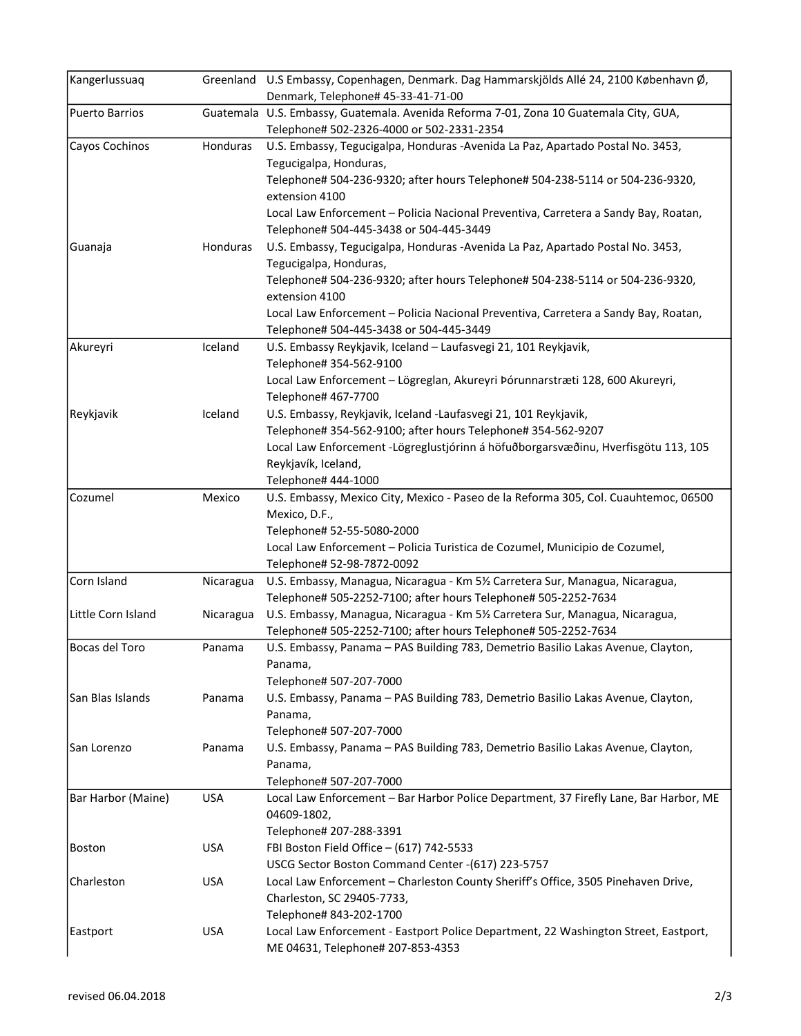| Kangerlussuaq      |            | Greenland U.S Embassy, Copenhagen, Denmark. Dag Hammarskjölds Allé 24, 2100 København Ø,<br>Denmark, Telephone# 45-33-41-71-00                                                                                                                                                                                                                                                           |
|--------------------|------------|------------------------------------------------------------------------------------------------------------------------------------------------------------------------------------------------------------------------------------------------------------------------------------------------------------------------------------------------------------------------------------------|
| Puerto Barrios     |            | Guatemala U.S. Embassy, Guatemala. Avenida Reforma 7-01, Zona 10 Guatemala City, GUA,<br>Telephone# 502-2326-4000 or 502-2331-2354                                                                                                                                                                                                                                                       |
| Cayos Cochinos     | Honduras   | U.S. Embassy, Tegucigalpa, Honduras -Avenida La Paz, Apartado Postal No. 3453,<br>Tegucigalpa, Honduras,<br>Telephone# 504-236-9320; after hours Telephone# 504-238-5114 or 504-236-9320,<br>extension 4100<br>Local Law Enforcement - Policia Nacional Preventiva, Carretera a Sandy Bay, Roatan,                                                                                       |
| Guanaja            | Honduras   | Telephone# 504-445-3438 or 504-445-3449<br>U.S. Embassy, Tegucigalpa, Honduras -Avenida La Paz, Apartado Postal No. 3453,<br>Tegucigalpa, Honduras,<br>Telephone# 504-236-9320; after hours Telephone# 504-238-5114 or 504-236-9320,<br>extension 4100<br>Local Law Enforcement - Policia Nacional Preventiva, Carretera a Sandy Bay, Roatan,<br>Telephone# 504-445-3438 or 504-445-3449 |
| Akureyri           | Iceland    | U.S. Embassy Reykjavik, Iceland - Laufasvegi 21, 101 Reykjavik,<br>Telephone# 354-562-9100<br>Local Law Enforcement - Lögreglan, Akureyri Þórunnarstræti 128, 600 Akureyri,<br>Telephone# 467-7700                                                                                                                                                                                       |
| Reykjavik          | Iceland    | U.S. Embassy, Reykjavik, Iceland -Laufasvegi 21, 101 Reykjavik,<br>Telephone# 354-562-9100; after hours Telephone# 354-562-9207<br>Local Law Enforcement - Lögreglustjórinn á höfuðborgarsvæðinu, Hverfisgötu 113, 105<br>Reykjavík, Iceland,<br>Telephone# 444-1000                                                                                                                     |
| Cozumel            | Mexico     | U.S. Embassy, Mexico City, Mexico - Paseo de la Reforma 305, Col. Cuauhtemoc, 06500<br>Mexico, D.F.,<br>Telephone# 52-55-5080-2000<br>Local Law Enforcement - Policia Turistica de Cozumel, Municipio de Cozumel,<br>Telephone# 52-98-7872-0092                                                                                                                                          |
| Corn Island        | Nicaragua  | U.S. Embassy, Managua, Nicaragua - Km 51/2 Carretera Sur, Managua, Nicaragua,<br>Telephone# 505-2252-7100; after hours Telephone# 505-2252-7634                                                                                                                                                                                                                                          |
| Little Corn Island | Nicaragua  | U.S. Embassy, Managua, Nicaragua - Km 51/2 Carretera Sur, Managua, Nicaragua,<br>Telephone# 505-2252-7100; after hours Telephone# 505-2252-7634                                                                                                                                                                                                                                          |
| Bocas del Toro     | Panama     | U.S. Embassy, Panama - PAS Building 783, Demetrio Basilio Lakas Avenue, Clayton,<br>Panama,<br>Telephone# 507-207-7000                                                                                                                                                                                                                                                                   |
| San Blas Islands   | Panama     | U.S. Embassy, Panama - PAS Building 783, Demetrio Basilio Lakas Avenue, Clayton,<br>Panama,<br>Telephone# 507-207-7000                                                                                                                                                                                                                                                                   |
| San Lorenzo        | Panama     | U.S. Embassy, Panama - PAS Building 783, Demetrio Basilio Lakas Avenue, Clayton,<br>Panama,<br>Telephone# 507-207-7000                                                                                                                                                                                                                                                                   |
| Bar Harbor (Maine) | <b>USA</b> | Local Law Enforcement - Bar Harbor Police Department, 37 Firefly Lane, Bar Harbor, ME<br>04609-1802,<br>Telephone# 207-288-3391                                                                                                                                                                                                                                                          |
| Boston             | <b>USA</b> | FBI Boston Field Office - (617) 742-5533<br>USCG Sector Boston Command Center -(617) 223-5757                                                                                                                                                                                                                                                                                            |
| Charleston         | <b>USA</b> | Local Law Enforcement - Charleston County Sheriff's Office, 3505 Pinehaven Drive,<br>Charleston, SC 29405-7733,<br>Telephone# 843-202-1700                                                                                                                                                                                                                                               |
| Eastport           | <b>USA</b> | Local Law Enforcement - Eastport Police Department, 22 Washington Street, Eastport,<br>ME 04631, Telephone# 207-853-4353                                                                                                                                                                                                                                                                 |